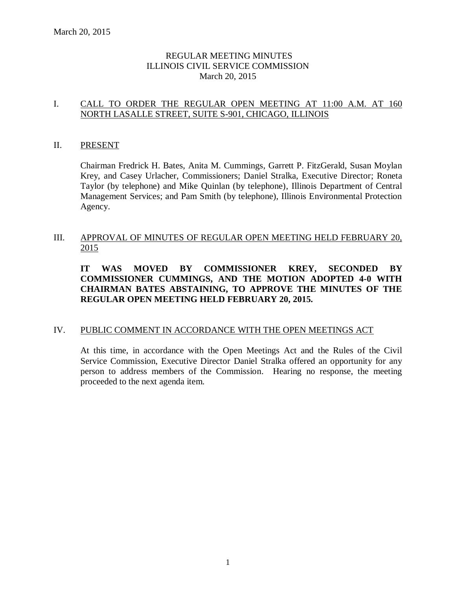## REGULAR MEETING MINUTES ILLINOIS CIVIL SERVICE COMMISSION March 20, 2015

## I. CALL TO ORDER THE REGULAR OPEN MEETING AT 11:00 A.M. AT 160 NORTH LASALLE STREET, SUITE S-901, CHICAGO, ILLINOIS

## II. PRESENT

Chairman Fredrick H. Bates, Anita M. Cummings, Garrett P. FitzGerald, Susan Moylan Krey, and Casey Urlacher, Commissioners; Daniel Stralka, Executive Director; Roneta Taylor (by telephone) and Mike Quinlan (by telephone), Illinois Department of Central Management Services; and Pam Smith (by telephone), Illinois Environmental Protection Agency.

## III. APPROVAL OF MINUTES OF REGULAR OPEN MEETING HELD FEBRUARY 20, 2015

## **IT WAS MOVED BY COMMISSIONER KREY, SECONDED BY COMMISSIONER CUMMINGS, AND THE MOTION ADOPTED 4-0 WITH CHAIRMAN BATES ABSTAINING, TO APPROVE THE MINUTES OF THE REGULAR OPEN MEETING HELD FEBRUARY 20, 2015.**

## IV. PUBLIC COMMENT IN ACCORDANCE WITH THE OPEN MEETINGS ACT

At this time, in accordance with the Open Meetings Act and the Rules of the Civil Service Commission, Executive Director Daniel Stralka offered an opportunity for any person to address members of the Commission. Hearing no response, the meeting proceeded to the next agenda item.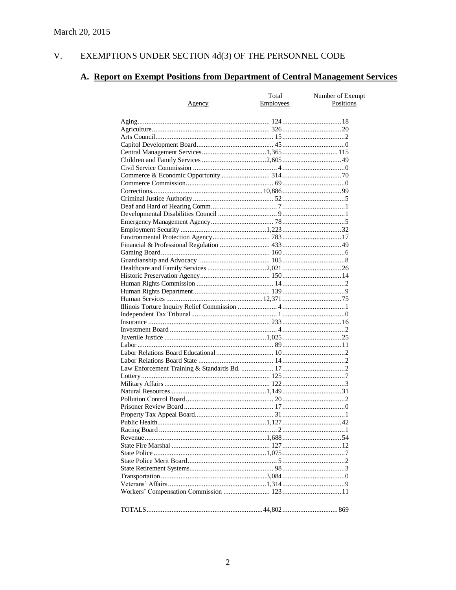#### V. EXEMPTIONS UNDER SECTION  $4d(3)$  OF THE PERSONNEL CODE

# A. Report on Exempt Positions from Department of Central Management Services

|        | Total            | Number of Exempt |
|--------|------------------|------------------|
| Agency | <b>Employees</b> | Positions        |
|        |                  |                  |
|        |                  |                  |
|        |                  |                  |
|        |                  |                  |
|        |                  |                  |
|        |                  |                  |
|        |                  |                  |
|        |                  |                  |
|        |                  |                  |
|        |                  |                  |
|        |                  |                  |
|        |                  |                  |
|        |                  |                  |
|        |                  |                  |
|        |                  |                  |
|        |                  |                  |
|        |                  |                  |
|        |                  |                  |
|        |                  |                  |
|        |                  |                  |
|        |                  |                  |
|        |                  |                  |
|        |                  |                  |
|        |                  |                  |
|        |                  |                  |
|        |                  |                  |
|        |                  |                  |
|        |                  |                  |
|        |                  |                  |
|        |                  |                  |
|        |                  |                  |
|        |                  |                  |
|        |                  |                  |
|        |                  |                  |
|        |                  |                  |
|        |                  |                  |
|        |                  |                  |
|        |                  |                  |
|        |                  |                  |
|        |                  |                  |
|        |                  |                  |
|        |                  |                  |
|        |                  |                  |
|        |                  |                  |
|        |                  |                  |
|        |                  |                  |
|        |                  |                  |
|        |                  |                  |
|        |                  |                  |
|        |                  |                  |
|        |                  |                  |
|        |                  |                  |
|        |                  |                  |
|        |                  |                  |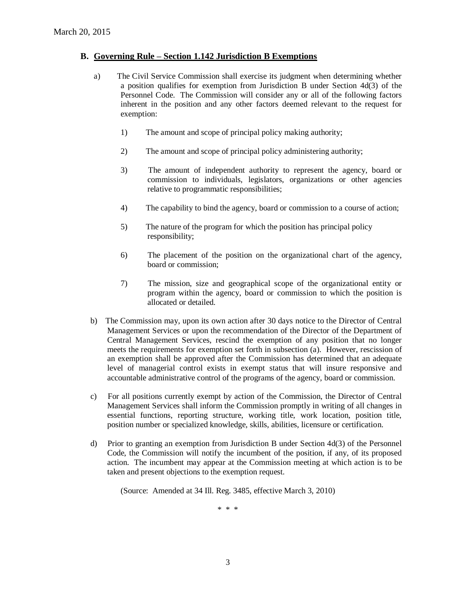#### **B. Governing Rule – Section 1.142 Jurisdiction B Exemptions**

- a) The Civil Service Commission shall exercise its judgment when determining whether a position qualifies for exemption from Jurisdiction B under Section 4d(3) of the Personnel Code. The Commission will consider any or all of the following factors inherent in the position and any other factors deemed relevant to the request for exemption:
	- 1) The amount and scope of principal policy making authority;
	- 2) The amount and scope of principal policy administering authority;
	- 3) The amount of independent authority to represent the agency, board or commission to individuals, legislators, organizations or other agencies relative to programmatic responsibilities;
	- 4) The capability to bind the agency, board or commission to a course of action;
	- 5) The nature of the program for which the position has principal policy responsibility;
	- 6) The placement of the position on the organizational chart of the agency, board or commission;
	- 7) The mission, size and geographical scope of the organizational entity or program within the agency, board or commission to which the position is allocated or detailed.
- b) The Commission may, upon its own action after 30 days notice to the Director of Central Management Services or upon the recommendation of the Director of the Department of Central Management Services, rescind the exemption of any position that no longer meets the requirements for exemption set forth in subsection (a). However, rescission of an exemption shall be approved after the Commission has determined that an adequate level of managerial control exists in exempt status that will insure responsive and accountable administrative control of the programs of the agency, board or commission.
- c) For all positions currently exempt by action of the Commission, the Director of Central Management Services shall inform the Commission promptly in writing of all changes in essential functions, reporting structure, working title, work location, position title, position number or specialized knowledge, skills, abilities, licensure or certification.
- d) Prior to granting an exemption from Jurisdiction B under Section 4d(3) of the Personnel Code, the Commission will notify the incumbent of the position, if any, of its proposed action. The incumbent may appear at the Commission meeting at which action is to be taken and present objections to the exemption request.

(Source: Amended at 34 Ill. Reg. 3485, effective March 3, 2010)

\* \* \*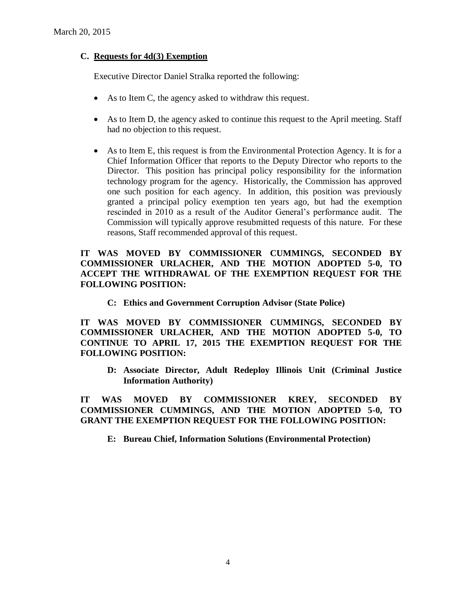## **C. Requests for 4d(3) Exemption**

Executive Director Daniel Stralka reported the following:

- As to Item C, the agency asked to withdraw this request.
- As to Item D, the agency asked to continue this request to the April meeting. Staff had no objection to this request.
- As to Item E, this request is from the Environmental Protection Agency. It is for a Chief Information Officer that reports to the Deputy Director who reports to the Director. This position has principal policy responsibility for the information technology program for the agency. Historically, the Commission has approved one such position for each agency. In addition, this position was previously granted a principal policy exemption ten years ago, but had the exemption rescinded in 2010 as a result of the Auditor General's performance audit. The Commission will typically approve resubmitted requests of this nature. For these reasons, Staff recommended approval of this request.

## **IT WAS MOVED BY COMMISSIONER CUMMINGS, SECONDED BY COMMISSIONER URLACHER, AND THE MOTION ADOPTED 5-0, TO ACCEPT THE WITHDRAWAL OF THE EXEMPTION REQUEST FOR THE FOLLOWING POSITION:**

**C: Ethics and Government Corruption Advisor (State Police)**

**IT WAS MOVED BY COMMISSIONER CUMMINGS, SECONDED BY COMMISSIONER URLACHER, AND THE MOTION ADOPTED 5-0, TO CONTINUE TO APRIL 17, 2015 THE EXEMPTION REQUEST FOR THE FOLLOWING POSITION:**

**D: Associate Director, Adult Redeploy Illinois Unit (Criminal Justice Information Authority)**

**IT WAS MOVED BY COMMISSIONER KREY, SECONDED BY COMMISSIONER CUMMINGS, AND THE MOTION ADOPTED 5-0, TO GRANT THE EXEMPTION REQUEST FOR THE FOLLOWING POSITION:**

**E: Bureau Chief, Information Solutions (Environmental Protection)**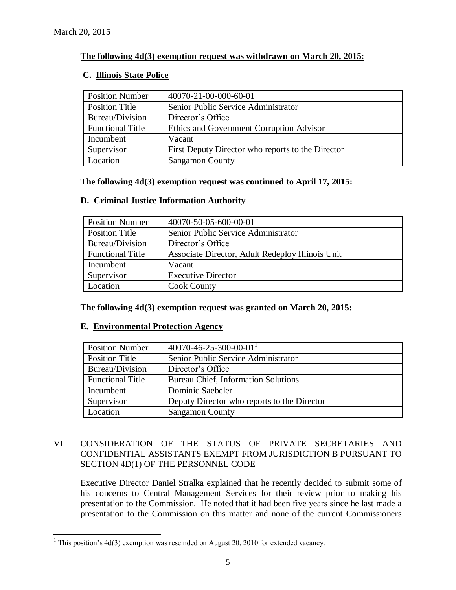$\overline{a}$ 

## **The following 4d(3) exemption request was withdrawn on March 20, 2015:**

## **C. Illinois State Police**

| <b>Position Number</b>  | 40070-21-00-000-60-01                             |
|-------------------------|---------------------------------------------------|
| <b>Position Title</b>   | Senior Public Service Administrator               |
| Bureau/Division         | Director's Office                                 |
| <b>Functional Title</b> | Ethics and Government Corruption Advisor          |
| Incumbent               | Vacant                                            |
| Supervisor              | First Deputy Director who reports to the Director |
| Location                | <b>Sangamon County</b>                            |

## **The following 4d(3) exemption request was continued to April 17, 2015:**

| <b>Position Number</b>  | 40070-50-05-600-00-01                            |
|-------------------------|--------------------------------------------------|
| Position Title          | Senior Public Service Administrator              |
| Bureau/Division         | Director's Office                                |
| <b>Functional Title</b> | Associate Director, Adult Redeploy Illinois Unit |
| Incumbent               | Vacant                                           |
| Supervisor              | <b>Executive Director</b>                        |
| Location                | <b>Cook County</b>                               |

## **D. Criminal Justice Information Authority**

## **The following 4d(3) exemption request was granted on March 20, 2015:**

## **E. Environmental Protection Agency**

| <b>Position Number</b>  | 40070-46-25-300-00-01 <sup>1</sup>          |
|-------------------------|---------------------------------------------|
| <b>Position Title</b>   | Senior Public Service Administrator         |
| Bureau/Division         | Director's Office                           |
| <b>Functional Title</b> | <b>Bureau Chief, Information Solutions</b>  |
| Incumbent               | Dominic Saebeler                            |
| Supervisor              | Deputy Director who reports to the Director |
| Location                | <b>Sangamon County</b>                      |

## VI. CONSIDERATION OF THE STATUS OF PRIVATE SECRETARIES AND CONFIDENTIAL ASSISTANTS EXEMPT FROM JURISDICTION B PURSUANT TO SECTION 4D(1) OF THE PERSONNEL CODE

Executive Director Daniel Stralka explained that he recently decided to submit some of his concerns to Central Management Services for their review prior to making his presentation to the Commission. He noted that it had been five years since he last made a presentation to the Commission on this matter and none of the current Commissioners

<sup>&</sup>lt;sup>1</sup> This position's  $4d(3)$  exemption was rescinded on August 20, 2010 for extended vacancy.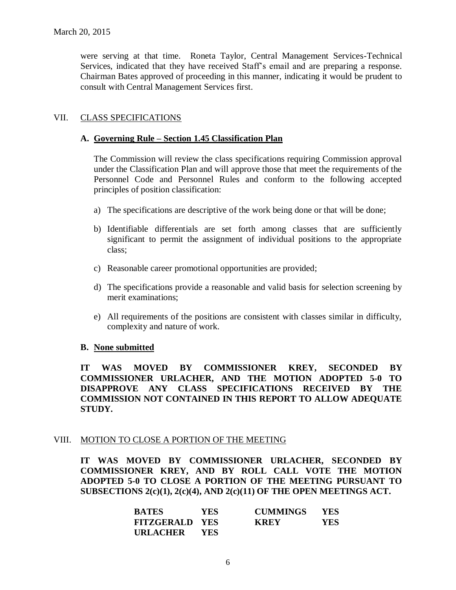were serving at that time. Roneta Taylor, Central Management Services-Technical Services, indicated that they have received Staff's email and are preparing a response. Chairman Bates approved of proceeding in this manner, indicating it would be prudent to consult with Central Management Services first.

## VII. CLASS SPECIFICATIONS

## **A. Governing Rule – Section 1.45 Classification Plan**

The Commission will review the class specifications requiring Commission approval under the Classification Plan and will approve those that meet the requirements of the Personnel Code and Personnel Rules and conform to the following accepted principles of position classification:

- a) The specifications are descriptive of the work being done or that will be done;
- b) Identifiable differentials are set forth among classes that are sufficiently significant to permit the assignment of individual positions to the appropriate class;
- c) Reasonable career promotional opportunities are provided;
- d) The specifications provide a reasonable and valid basis for selection screening by merit examinations;
- e) All requirements of the positions are consistent with classes similar in difficulty, complexity and nature of work.

## **B. None submitted**

**IT WAS MOVED BY COMMISSIONER KREY, SECONDED BY COMMISSIONER URLACHER, AND THE MOTION ADOPTED 5-0 TO DISAPPROVE ANY CLASS SPECIFICATIONS RECEIVED BY THE COMMISSION NOT CONTAINED IN THIS REPORT TO ALLOW ADEQUATE STUDY.** 

#### VIII. MOTION TO CLOSE A PORTION OF THE MEETING

**IT WAS MOVED BY COMMISSIONER URLACHER, SECONDED BY COMMISSIONER KREY, AND BY ROLL CALL VOTE THE MOTION ADOPTED 5-0 TO CLOSE A PORTION OF THE MEETING PURSUANT TO SUBSECTIONS 2(c)(1), 2(c)(4), AND 2(c)(11) OF THE OPEN MEETINGS ACT.**

| <b>BATES</b>          | <b>YES</b> | <b>CUMMINGS</b> | <b>YES</b> |
|-----------------------|------------|-----------------|------------|
| <b>FITZGERALD YES</b> |            | <b>KREY</b>     | YES.       |
| URLACHER              | <b>YES</b> |                 |            |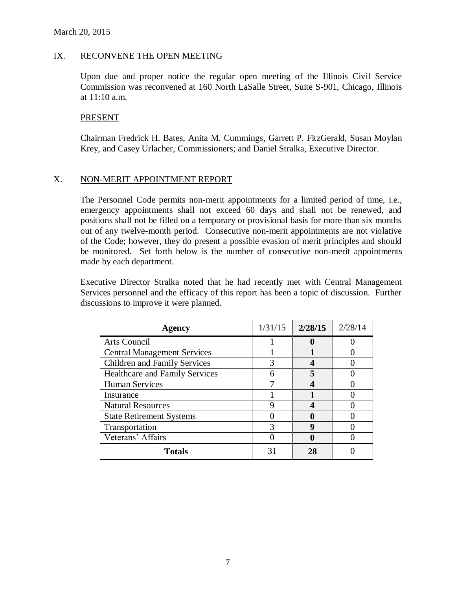## IX. RECONVENE THE OPEN MEETING

Upon due and proper notice the regular open meeting of the Illinois Civil Service Commission was reconvened at 160 North LaSalle Street, Suite S-901, Chicago, Illinois at 11:10 a.m.

#### **PRESENT**

Chairman Fredrick H. Bates, Anita M. Cummings, Garrett P. FitzGerald, Susan Moylan Krey, and Casey Urlacher, Commissioners; and Daniel Stralka, Executive Director.

## X. NON-MERIT APPOINTMENT REPORT

The Personnel Code permits non-merit appointments for a limited period of time, i.e., emergency appointments shall not exceed 60 days and shall not be renewed, and positions shall not be filled on a temporary or provisional basis for more than six months out of any twelve-month period. Consecutive non-merit appointments are not violative of the Code; however, they do present a possible evasion of merit principles and should be monitored. Set forth below is the number of consecutive non-merit appointments made by each department.

Executive Director Stralka noted that he had recently met with Central Management Services personnel and the efficacy of this report has been a topic of discussion. Further discussions to improve it were planned.

| Agency                                | 1/31/15 | 2/28/15 | 2/28/14 |
|---------------------------------------|---------|---------|---------|
| Arts Council                          |         |         |         |
| <b>Central Management Services</b>    |         |         |         |
| <b>Children and Family Services</b>   |         |         |         |
| <b>Healthcare and Family Services</b> |         |         |         |
| <b>Human Services</b>                 |         |         |         |
| Insurance                             |         |         |         |
| <b>Natural Resources</b>              |         |         |         |
| <b>State Retirement Systems</b>       |         |         |         |
| Transportation                        |         | Q       |         |
| Veterans' Affairs                     |         |         |         |
| <b>Totals</b>                         |         | 28      |         |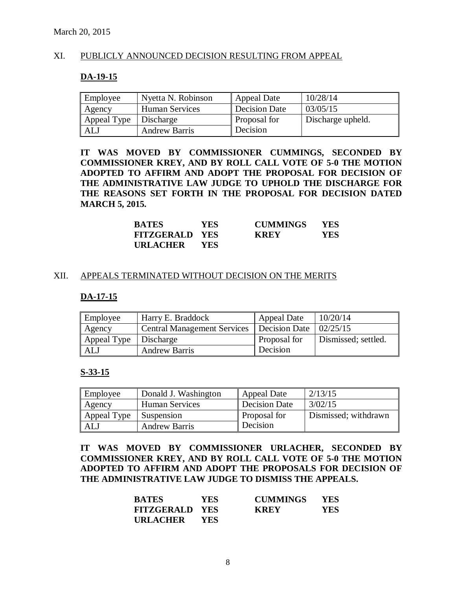#### XI. PUBLICLY ANNOUNCED DECISION RESULTING FROM APPEAL

#### **DA-19-15**

| Employee                | Nyetta N. Robinson    | <b>Appeal Date</b>  | 10/28/14          |
|-------------------------|-----------------------|---------------------|-------------------|
| Agency                  | <b>Human Services</b> | Decision Date       | 03/05/15          |
| Appeal Type   Discharge |                       | <b>Proposal for</b> | Discharge upheld. |
| ALJ                     | <b>Andrew Barris</b>  | Decision            |                   |

**IT WAS MOVED BY COMMISSIONER CUMMINGS, SECONDED BY COMMISSIONER KREY, AND BY ROLL CALL VOTE OF 5-0 THE MOTION ADOPTED TO AFFIRM AND ADOPT THE PROPOSAL FOR DECISION OF THE ADMINISTRATIVE LAW JUDGE TO UPHOLD THE DISCHARGE FOR THE REASONS SET FORTH IN THE PROPOSAL FOR DECISION DATED MARCH 5, 2015.**

| <b>BATES</b>          | YES.       | <b>CUMMINGS</b> | <b>YES</b> |
|-----------------------|------------|-----------------|------------|
| <b>FITZGERALD YES</b> |            | <b>KREY</b>     | YES        |
| URLACHER              | <b>YES</b> |                 |            |

#### XII. APPEALS TERMINATED WITHOUT DECISION ON THE MERITS

#### **DA-17-15**

| Employee                | Harry E. Braddock                                      | Appeal Date  | 10/20/14            |
|-------------------------|--------------------------------------------------------|--------------|---------------------|
| Agency                  | Central Management Services   Decision Date   02/25/15 |              |                     |
| Appeal Type   Discharge |                                                        | Proposal for | Dismissed; settled. |
| ALJ                     | <b>Andrew Barris</b>                                   | Decision     |                     |

#### **S-33-15**

| Employee    | Donald J. Washington  | <b>Appeal Date</b>   | 2/13/15              |
|-------------|-----------------------|----------------------|----------------------|
| Agency      | <b>Human Services</b> | <b>Decision Date</b> | 3/02/15              |
| Appeal Type | <b>Suspension</b>     | Proposal for         | Dismissed; withdrawn |
| ALJ         | <b>Andrew Barris</b>  | Decision             |                      |

**IT WAS MOVED BY COMMISSIONER URLACHER, SECONDED BY COMMISSIONER KREY, AND BY ROLL CALL VOTE OF 5-0 THE MOTION ADOPTED TO AFFIRM AND ADOPT THE PROPOSALS FOR DECISION OF THE ADMINISTRATIVE LAW JUDGE TO DISMISS THE APPEALS.**

| <b>BATES</b>          | <b>YES</b> | <b>CUMMINGS</b> | <b>YES</b> |
|-----------------------|------------|-----------------|------------|
| <b>FITZGERALD YES</b> |            | <b>KREY</b>     | YES        |
| URLACHER              | <b>YES</b> |                 |            |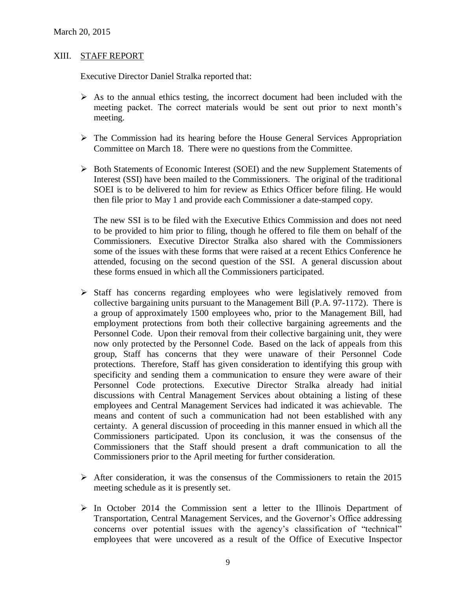#### XIII. STAFF REPORT

Executive Director Daniel Stralka reported that:

- $\triangleright$  As to the annual ethics testing, the incorrect document had been included with the meeting packet. The correct materials would be sent out prior to next month's meeting.
- $\triangleright$  The Commission had its hearing before the House General Services Appropriation Committee on March 18. There were no questions from the Committee.
- $\triangleright$  Both Statements of Economic Interest (SOEI) and the new Supplement Statements of Interest (SSI) have been mailed to the Commissioners. The original of the traditional SOEI is to be delivered to him for review as Ethics Officer before filing. He would then file prior to May 1 and provide each Commissioner a date-stamped copy.

The new SSI is to be filed with the Executive Ethics Commission and does not need to be provided to him prior to filing, though he offered to file them on behalf of the Commissioners. Executive Director Stralka also shared with the Commissioners some of the issues with these forms that were raised at a recent Ethics Conference he attended, focusing on the second question of the SSI. A general discussion about these forms ensued in which all the Commissioners participated.

- $\triangleright$  Staff has concerns regarding employees who were legislatively removed from collective bargaining units pursuant to the Management Bill (P.A. 97-1172). There is a group of approximately 1500 employees who, prior to the Management Bill, had employment protections from both their collective bargaining agreements and the Personnel Code. Upon their removal from their collective bargaining unit, they were now only protected by the Personnel Code. Based on the lack of appeals from this group, Staff has concerns that they were unaware of their Personnel Code protections. Therefore, Staff has given consideration to identifying this group with specificity and sending them a communication to ensure they were aware of their Personnel Code protections. Executive Director Stralka already had initial discussions with Central Management Services about obtaining a listing of these employees and Central Management Services had indicated it was achievable. The means and content of such a communication had not been established with any certainty. A general discussion of proceeding in this manner ensued in which all the Commissioners participated. Upon its conclusion, it was the consensus of the Commissioners that the Staff should present a draft communication to all the Commissioners prior to the April meeting for further consideration.
- $\triangleright$  After consideration, it was the consensus of the Commissioners to retain the 2015 meeting schedule as it is presently set.
- $\triangleright$  In October 2014 the Commission sent a letter to the Illinois Department of Transportation, Central Management Services, and the Governor's Office addressing concerns over potential issues with the agency's classification of "technical" employees that were uncovered as a result of the Office of Executive Inspector